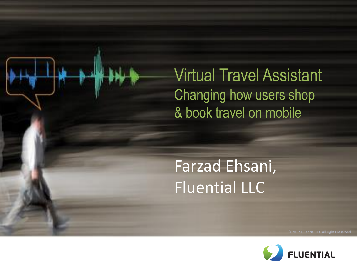Virtual Travel Assistant Changing how users shop & book travel on mobile

#### Farzad Ehsani, Fluential LLC

Ĩ

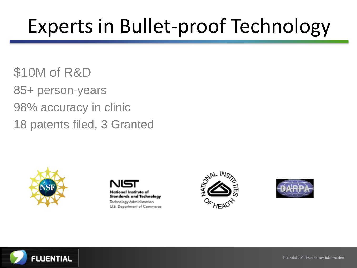## Experts in Bullet-proof Technology

\$10M of R&D 85+ person-years 98% accuracy in clinic 18 patents filed, 3 Granted









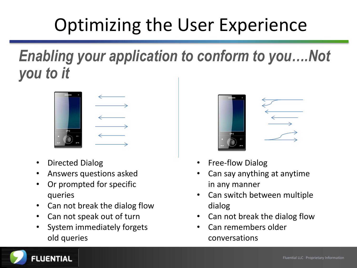## Optimizing the User Experience

*Enabling your application to conform to you….Not you to it*



- Directed Dialog
- Answers questions asked
- Or prompted for specific queries
- Can not break the dialog flow
- Can not speak out of turn
- System immediately forgets old queries



- Free-flow Dialog
- Can say anything at anytime in any manner
- Can switch between multiple dialog
- Can not break the dialog flow
- Can remembers older conversations

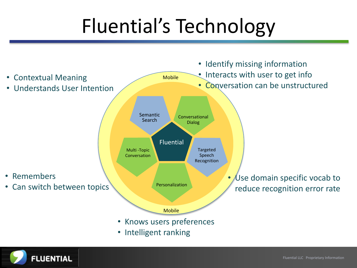# Fluential's Technology



• Intelligent ranking

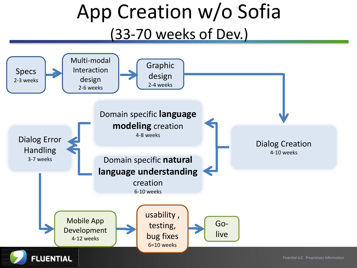## App Creation w/o Sofia (33-70 weeks of Dev.)

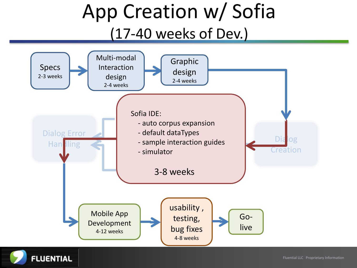### App Creation w/ Sofia (17-40 weeks of Dev.)



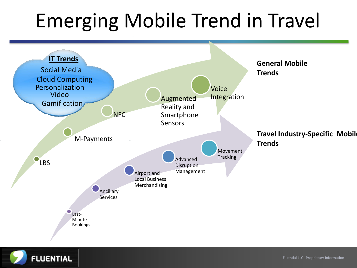# Emerging Mobile Trend in Travel



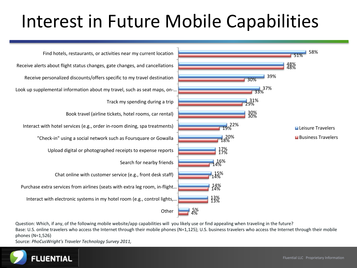### Interest in Future Mobile Capabilities



Question: Which, if any, of the following mobile website/app capabilities will you likely use or find appealing when traveling in the future? Base: U.S. online travelers who access the Internet through their mobile phones (N=1,125); U.S. business travelers who access the Internet through their mobile phones (N=1,526)

Source: *PhoCusWright's Traveler Technology Survey 2011,* 

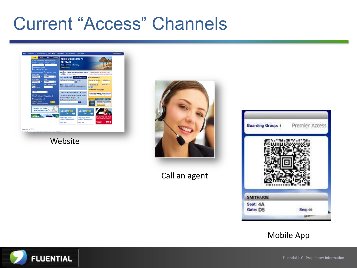#### Current "Access" Channels

| <b>OSearch Specific Dates @My Dates are Floxible</b><br>Latest News Changed bag rules and optional services.<br>Important account update information:<br>and Offers Important notices<br>unterhub.com: Unted news, videos & tips<br>Depart Date:<br>Time:<br>۰<br>Anvtime<br>ы<br>mm/dd/vww.<br><b>Check Flight Status</b><br><b>Print Boarding Pass</b><br><b>MileagePlus Sign In</b><br><b>Return Date:</b><br>Time:<br>Confirmation or MileagePlus Number:<br>PINPassword:<br>MileagePlus riumber:<br>۰<br>σ<br>www.bbirm<br>Anytime<br>Adults:<br>Offer Code (optional):<br>El Forgot PIN2<br><b>Remember Me</b><br><b>O</b> More Check-in eptions<br>Chapic-in is available within 24 hours of departure<br><b>ISI</b> children<br>Sigs by<br>Not a member? Join Now<br>Cabini<br>п<br>Economy<br><b>Change or View Reservations</b><br><b>O</b> Sea Horn<br>(ii) Need help signing in ? Visit the United Hub-<br><b>Search By:</b><br>for information about PINs and passwords.<br>Find a Reservation by Confirmation Number<br>O Price @ Schedule @ Award Travel<br>Reservation Type: @ Flight Car<br><b>First Checked Bag Free</b><br>Nonstop Flights Only<br><b>STATISTICS</b><br>Confirmation: Last Name:<br>1. Start with 30,000 Bonus Miles<br>Advanced Snacth<br>$\alpha$<br><b>Search</b><br>and intro Offer - First Your Free<br>Children, Country of Purchase<br><b>JAHN MIN</b> |
|--------------------------------------------------------------------------------------------------------------------------------------------------------------------------------------------------------------------------------------------------------------------------------------------------------------------------------------------------------------------------------------------------------------------------------------------------------------------------------------------------------------------------------------------------------------------------------------------------------------------------------------------------------------------------------------------------------------------------------------------------------------------------------------------------------------------------------------------------------------------------------------------------------------------------------------------------------------------------------------------------------------------------------------------------------------------------------------------------------------------------------------------------------------------------------------------------------------------------------------------------------------------------------------------------------------------------------------------------------------------------------------------------|
| Customize your trip with<br><b>Travel Options by United<sup>®</sup>3</b><br><b>MileagePlus</b><br><b>MileagePlus</b><br><b>UNITED</b><br><b>UNITED</b><br>Eruise<br><b>Reservation</b><br><b>SAVE UP TO 35% PLUS</b><br>The facts about account<br>The facts about account<br>TRIPLE AWARD MILES.<br>numbers. PIN and passwords.<br>numbers. PIN and gassasyrds.<br><b>AVIS</b><br><b>BOOKHOWY</b><br>Get the details ><br>Get the details >                                                                                                                                                                                                                                                                                                                                                                                                                                                                                                                                                                                                                                                                                                                                                                                                                                                                                                                                                     |



Call an agent



#### Mobile App

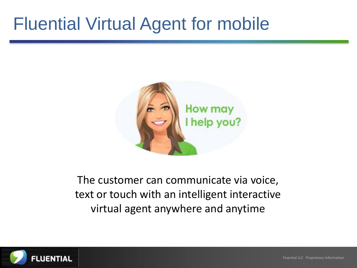#### Fluential Virtual Agent for mobile



The customer can communicate via voice, text or touch with an intelligent interactive virtual agent anywhere and anytime



Fluential LLC Proprietary Information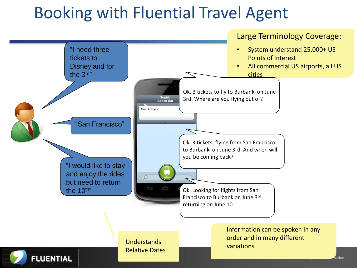#### Booking with Fluential Travel Agent